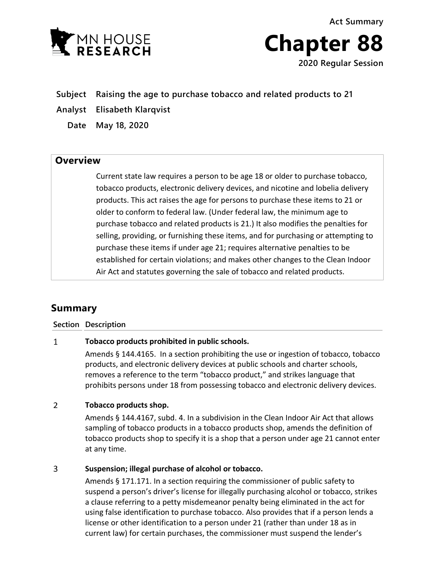



**Subject Raising the age to purchase tobacco and related products to 21**

**Analyst Elisabeth Klarqvist**

**Date May 18, 2020**

## **Overview**

Current state law requires a person to be age 18 or older to purchase tobacco, tobacco products, electronic delivery devices, and nicotine and lobelia delivery products. This act raises the age for persons to purchase these items to 21 or older to conform to federal law. (Under federal law, the minimum age to purchase tobacco and related products is 21.) It also modifies the penalties for selling, providing, or furnishing these items, and for purchasing or attempting to purchase these items if under age 21; requires alternative penalties to be established for certain violations; and makes other changes to the Clean Indoor Air Act and statutes governing the sale of tobacco and related products.

# **Summary**

### **Section Description**

### **Tobacco products prohibited in public schools.**  $\mathbf{1}$

Amends § 144.4165. In a section prohibiting the use or ingestion of tobacco, tobacco products, and electronic delivery devices at public schools and charter schools, removes a reference to the term "tobacco product," and strikes language that prohibits persons under 18 from possessing tobacco and electronic delivery devices.

### $\overline{2}$ **Tobacco products shop.**

Amends § 144.4167, subd. 4. In a subdivision in the Clean Indoor Air Act that allows sampling of tobacco products in a tobacco products shop, amends the definition of tobacco products shop to specify it is a shop that a person under age 21 cannot enter at any time.

### $\overline{3}$ **Suspension; illegal purchase of alcohol or tobacco.**

Amends § 171.171. In a section requiring the commissioner of public safety to suspend a person's driver's license for illegally purchasing alcohol or tobacco, strikes a clause referring to a petty misdemeanor penalty being eliminated in the act for using false identification to purchase tobacco. Also provides that if a person lends a license or other identification to a person under 21 (rather than under 18 as in current law) for certain purchases, the commissioner must suspend the lender's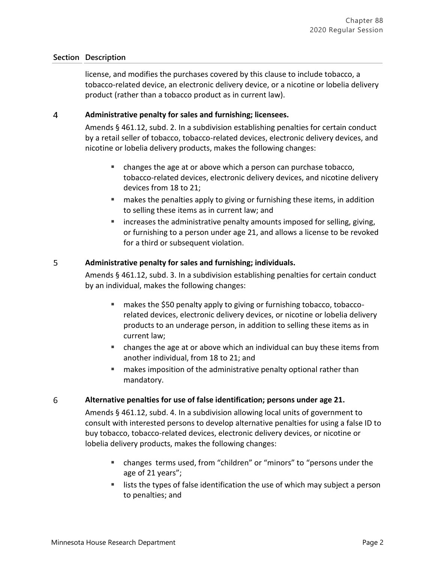license, and modifies the purchases covered by this clause to include tobacco, a tobacco-related device, an electronic delivery device, or a nicotine or lobelia delivery product (rather than a tobacco product as in current law).

### $\overline{4}$ **Administrative penalty for sales and furnishing; licensees.**

Amends § 461.12, subd. 2. In a subdivision establishing penalties for certain conduct by a retail seller of tobacco, tobacco-related devices, electronic delivery devices, and nicotine or lobelia delivery products, makes the following changes:

- changes the age at or above which a person can purchase tobacco, tobacco-related devices, electronic delivery devices, and nicotine delivery devices from 18 to 21;
- **EXED** makes the penalties apply to giving or furnishing these items, in addition to selling these items as in current law; and
- **EXEDENT** increases the administrative penalty amounts imposed for selling, giving, or furnishing to a person under age 21, and allows a license to be revoked for a third or subsequent violation.

### 5 **Administrative penalty for sales and furnishing; individuals.**

Amends § 461.12, subd. 3. In a subdivision establishing penalties for certain conduct by an individual, makes the following changes:

- makes the \$50 penalty apply to giving or furnishing tobacco, tobaccorelated devices, electronic delivery devices, or nicotine or lobelia delivery products to an underage person, in addition to selling these items as in current law;
- changes the age at or above which an individual can buy these items from another individual, from 18 to 21; and
- **EXT** makes imposition of the administrative penalty optional rather than mandatory.

### 6 **Alternative penalties for use of false identification; persons under age 21.**

Amends § 461.12, subd. 4. In a subdivision allowing local units of government to consult with interested persons to develop alternative penalties for using a false ID to buy tobacco, tobacco-related devices, electronic delivery devices, or nicotine or lobelia delivery products, makes the following changes:

- changes terms used, from "children" or "minors" to "persons under the age of 21 years";
- lists the types of false identification the use of which may subject a person to penalties; and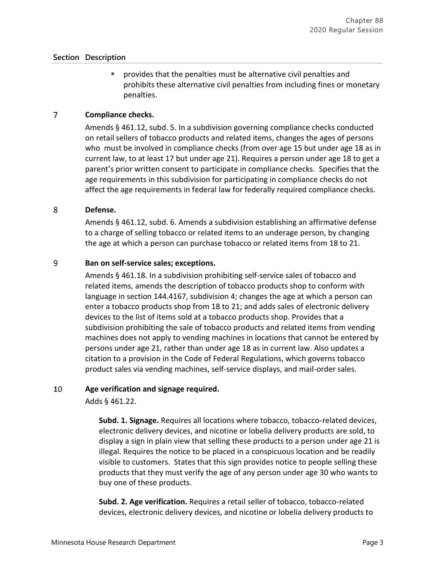provides that the penalties must be alternative civil penalties and prohibits these alternative civil penalties from including fines or monetary penalties.

### $\overline{7}$ **Compliance checks.**

Amends § 461.12, subd. 5. In a subdivision governing compliance checks conducted on retail sellers of tobacco products and related items, changes the ages of persons who must be involved in compliance checks (from over age 15 but under age 18 as in current law, to at least 17 but under age 21). Requires a person under age 18 to get a parent's prior written consent to participate in compliance checks. Specifies that the age requirements in this subdivision for participating in compliance checks do not affect the age requirements in federal law for federally required compliance checks.

### 8 **Defense.**

Amends § 461.12, subd. 6. Amends a subdivision establishing an affirmative defense to a charge of selling tobacco or related items to an underage person, by changing the age at which a person can purchase tobacco or related items from 18 to 21.

### 9 **Ban on self-service sales; exceptions.**

Amends § 461.18. In a subdivision prohibiting self-service sales of tobacco and related items, amends the description of tobacco products shop to conform with language in section 144.4167, subdivision 4; changes the age at which a person can enter a tobacco products shop from 18 to 21; and adds sales of electronic delivery devices to the list of items sold at a tobacco products shop. Provides that a subdivision prohibiting the sale of tobacco products and related items from vending machines does not apply to vending machines in locations that cannot be entered by persons under age 21, rather than under age 18 as in current law. Also updates a citation to a provision in the Code of Federal Regulations, which governs tobacco product sales via vending machines, self-service displays, and mail-order sales.

### 10 **Age verification and signage required.**

Adds § 461.22.

**Subd. 1. Signage.** Requires all locations where tobacco, tobacco-related devices, electronic delivery devices, and nicotine or lobelia delivery products are sold, to display a sign in plain view that selling these products to a person under age 21 is illegal. Requires the notice to be placed in a conspicuous location and be readily visible to customers. States that this sign provides notice to people selling these products that they must verify the age of any person under age 30 who wants to buy one of these products.

**Subd. 2. Age verification.** Requires a retail seller of tobacco, tobacco-related devices, electronic delivery devices, and nicotine or lobelia delivery products to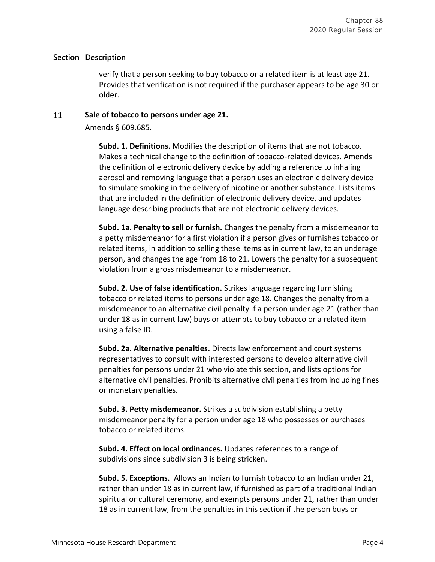verify that a person seeking to buy tobacco or a related item is at least age 21. Provides that verification is not required if the purchaser appears to be age 30 or older.

### 11 **Sale of tobacco to persons under age 21.**

Amends § 609.685.

**Subd. 1. Definitions.** Modifies the description of items that are not tobacco. Makes a technical change to the definition of tobacco-related devices. Amends the definition of electronic delivery device by adding a reference to inhaling aerosol and removing language that a person uses an electronic delivery device to simulate smoking in the delivery of nicotine or another substance. Lists items that are included in the definition of electronic delivery device, and updates language describing products that are not electronic delivery devices.

**Subd. 1a. Penalty to sell or furnish.** Changes the penalty from a misdemeanor to a petty misdemeanor for a first violation if a person gives or furnishes tobacco or related items, in addition to selling these items as in current law, to an underage person, and changes the age from 18 to 21. Lowers the penalty for a subsequent violation from a gross misdemeanor to a misdemeanor.

**Subd. 2. Use of false identification.** Strikes language regarding furnishing tobacco or related items to persons under age 18. Changes the penalty from a misdemeanor to an alternative civil penalty if a person under age 21 (rather than under 18 as in current law) buys or attempts to buy tobacco or a related item using a false ID.

**Subd. 2a. Alternative penalties.** Directs law enforcement and court systems representatives to consult with interested persons to develop alternative civil penalties for persons under 21 who violate this section, and lists options for alternative civil penalties. Prohibits alternative civil penalties from including fines or monetary penalties.

**Subd. 3. Petty misdemeanor.** Strikes a subdivision establishing a petty misdemeanor penalty for a person under age 18 who possesses or purchases tobacco or related items.

**Subd. 4. Effect on local ordinances.** Updates references to a range of subdivisions since subdivision 3 is being stricken.

**Subd. 5. Exceptions.** Allows an Indian to furnish tobacco to an Indian under 21, rather than under 18 as in current law, if furnished as part of a traditional Indian spiritual or cultural ceremony, and exempts persons under 21, rather than under 18 as in current law, from the penalties in this section if the person buys or